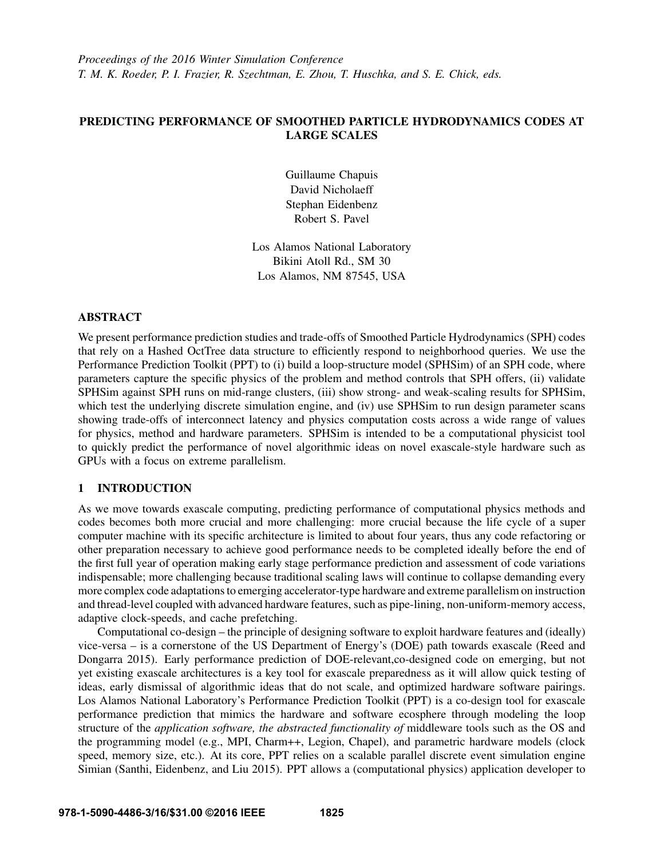# PREDICTING PERFORMANCE OF SMOOTHED PARTICLE HYDRODYNAMICS CODES AT LARGE SCALES

Guillaume Chapuis David Nicholaeff Stephan Eidenbenz Robert S. Pavel

Los Alamos National Laboratory Bikini Atoll Rd., SM 30 Los Alamos, NM 87545, USA

## ABSTRACT

We present performance prediction studies and trade-offs of Smoothed Particle Hydrodynamics (SPH) codes that rely on a Hashed OctTree data structure to efficiently respond to neighborhood queries. We use the Performance Prediction Toolkit (PPT) to (i) build a loop-structure model (SPHSim) of an SPH code, where parameters capture the specific physics of the problem and method controls that SPH offers, (ii) validate SPHSim against SPH runs on mid-range clusters, (iii) show strong- and weak-scaling results for SPHSim, which test the underlying discrete simulation engine, and (iv) use SPHSim to run design parameter scans showing trade-offs of interconnect latency and physics computation costs across a wide range of values for physics, method and hardware parameters. SPHSim is intended to be a computational physicist tool to quickly predict the performance of novel algorithmic ideas on novel exascale-style hardware such as GPUs with a focus on extreme parallelism.

## 1 INTRODUCTION

As we move towards exascale computing, predicting performance of computational physics methods and codes becomes both more crucial and more challenging: more crucial because the life cycle of a super computer machine with its specific architecture is limited to about four years, thus any code refactoring or other preparation necessary to achieve good performance needs to be completed ideally before the end of the first full year of operation making early stage performance prediction and assessment of code variations indispensable; more challenging because traditional scaling laws will continue to collapse demanding every more complex code adaptations to emerging accelerator-type hardware and extreme parallelism on instruction and thread-level coupled with advanced hardware features, such as pipe-lining, non-uniform-memory access, adaptive clock-speeds, and cache prefetching.

Computational co-design – the principle of designing software to exploit hardware features and (ideally) vice-versa – is a cornerstone of the US Department of Energy's (DOE) path towards exascale (Reed and Dongarra 2015). Early performance prediction of DOE-relevant,co-designed code on emerging, but not yet existing exascale architectures is a key tool for exascale preparedness as it will allow quick testing of ideas, early dismissal of algorithmic ideas that do not scale, and optimized hardware software pairings. Los Alamos National Laboratory's Performance Prediction Toolkit (PPT) is a co-design tool for exascale performance prediction that mimics the hardware and software ecosphere through modeling the loop structure of the *application software, the abstracted functionality of* middleware tools such as the OS and the programming model (e.g., MPI, Charm++, Legion, Chapel), and parametric hardware models (clock speed, memory size, etc.). At its core, PPT relies on a scalable parallel discrete event simulation engine Simian (Santhi, Eidenbenz, and Liu 2015). PPT allows a (computational physics) application developer to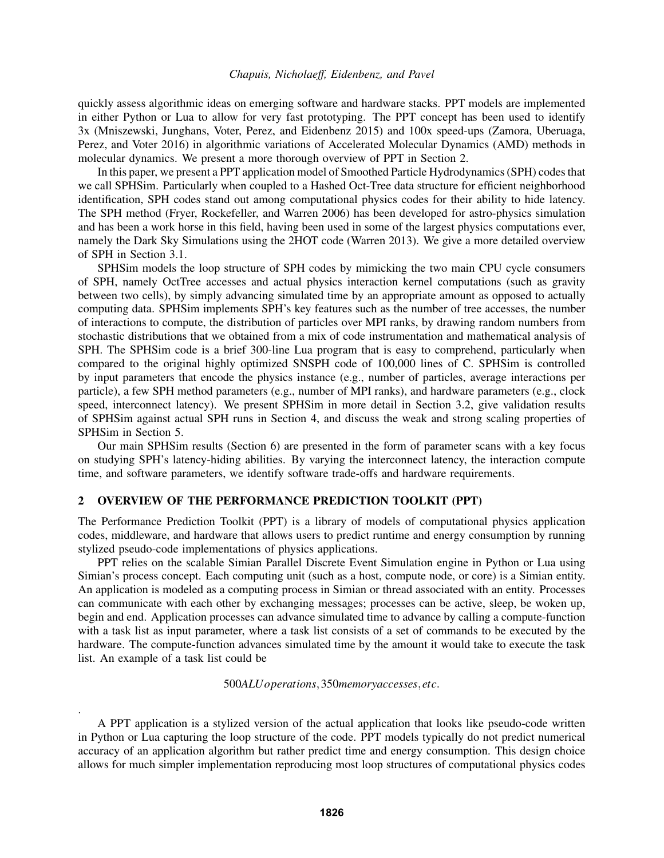quickly assess algorithmic ideas on emerging software and hardware stacks. PPT models are implemented in either Python or Lua to allow for very fast prototyping. The PPT concept has been used to identify 3x (Mniszewski, Junghans, Voter, Perez, and Eidenbenz 2015) and 100x speed-ups (Zamora, Uberuaga, Perez, and Voter 2016) in algorithmic variations of Accelerated Molecular Dynamics (AMD) methods in molecular dynamics. We present a more thorough overview of PPT in Section 2.

In this paper, we present a PPT application model of Smoothed Particle Hydrodynamics (SPH) codes that we call SPHSim. Particularly when coupled to a Hashed Oct-Tree data structure for efficient neighborhood identification, SPH codes stand out among computational physics codes for their ability to hide latency. The SPH method (Fryer, Rockefeller, and Warren 2006) has been developed for astro-physics simulation and has been a work horse in this field, having been used in some of the largest physics computations ever, namely the Dark Sky Simulations using the 2HOT code (Warren 2013). We give a more detailed overview of SPH in Section 3.1.

SPHSim models the loop structure of SPH codes by mimicking the two main CPU cycle consumers of SPH, namely OctTree accesses and actual physics interaction kernel computations (such as gravity between two cells), by simply advancing simulated time by an appropriate amount as opposed to actually computing data. SPHSim implements SPH's key features such as the number of tree accesses, the number of interactions to compute, the distribution of particles over MPI ranks, by drawing random numbers from stochastic distributions that we obtained from a mix of code instrumentation and mathematical analysis of SPH. The SPHSim code is a brief 300-line Lua program that is easy to comprehend, particularly when compared to the original highly optimized SNSPH code of 100,000 lines of C. SPHSim is controlled by input parameters that encode the physics instance (e.g., number of particles, average interactions per particle), a few SPH method parameters (e.g., number of MPI ranks), and hardware parameters (e.g., clock speed, interconnect latency). We present SPHSim in more detail in Section 3.2, give validation results of SPHSim against actual SPH runs in Section 4, and discuss the weak and strong scaling properties of SPHSim in Section 5.

Our main SPHSim results (Section 6) are presented in the form of parameter scans with a key focus on studying SPH's latency-hiding abilities. By varying the interconnect latency, the interaction compute time, and software parameters, we identify software trade-offs and hardware requirements.

## 2 OVERVIEW OF THE PERFORMANCE PREDICTION TOOLKIT (PPT)

.

The Performance Prediction Toolkit (PPT) is a library of models of computational physics application codes, middleware, and hardware that allows users to predict runtime and energy consumption by running stylized pseudo-code implementations of physics applications.

PPT relies on the scalable Simian Parallel Discrete Event Simulation engine in Python or Lua using Simian's process concept. Each computing unit (such as a host, compute node, or core) is a Simian entity. An application is modeled as a computing process in Simian or thread associated with an entity. Processes can communicate with each other by exchanging messages; processes can be active, sleep, be woken up, begin and end. Application processes can advance simulated time to advance by calling a compute-function with a task list as input parameter, where a task list consists of a set of commands to be executed by the hardware. The compute-function advances simulated time by the amount it would take to execute the task list. An example of a task list could be

500*ALUoperations*,350*memoryaccesses*, *etc*.

A PPT application is a stylized version of the actual application that looks like pseudo-code written in Python or Lua capturing the loop structure of the code. PPT models typically do not predict numerical accuracy of an application algorithm but rather predict time and energy consumption. This design choice allows for much simpler implementation reproducing most loop structures of computational physics codes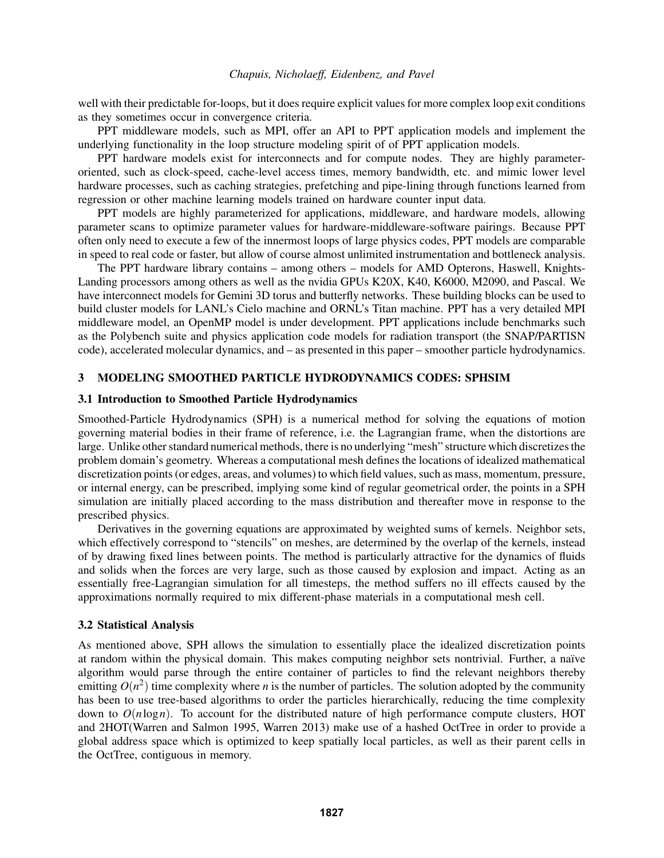well with their predictable for-loops, but it does require explicit values for more complex loop exit conditions as they sometimes occur in convergence criteria.

PPT middleware models, such as MPI, offer an API to PPT application models and implement the underlying functionality in the loop structure modeling spirit of of PPT application models.

PPT hardware models exist for interconnects and for compute nodes. They are highly parameteroriented, such as clock-speed, cache-level access times, memory bandwidth, etc. and mimic lower level hardware processes, such as caching strategies, prefetching and pipe-lining through functions learned from regression or other machine learning models trained on hardware counter input data.

PPT models are highly parameterized for applications, middleware, and hardware models, allowing parameter scans to optimize parameter values for hardware-middleware-software pairings. Because PPT often only need to execute a few of the innermost loops of large physics codes, PPT models are comparable in speed to real code or faster, but allow of course almost unlimited instrumentation and bottleneck analysis.

The PPT hardware library contains – among others – models for AMD Opterons, Haswell, Knights-Landing processors among others as well as the nvidia GPUs K20X, K40, K6000, M2090, and Pascal. We have interconnect models for Gemini 3D torus and butterfly networks. These building blocks can be used to build cluster models for LANL's Cielo machine and ORNL's Titan machine. PPT has a very detailed MPI middleware model, an OpenMP model is under development. PPT applications include benchmarks such as the Polybench suite and physics application code models for radiation transport (the SNAP/PARTISN code), accelerated molecular dynamics, and – as presented in this paper – smoother particle hydrodynamics.

## 3 MODELING SMOOTHED PARTICLE HYDRODYNAMICS CODES: SPHSIM

## 3.1 Introduction to Smoothed Particle Hydrodynamics

Smoothed-Particle Hydrodynamics (SPH) is a numerical method for solving the equations of motion governing material bodies in their frame of reference, i.e. the Lagrangian frame, when the distortions are large. Unlike other standard numerical methods, there is no underlying "mesh" structure which discretizes the problem domain's geometry. Whereas a computational mesh defines the locations of idealized mathematical discretization points (or edges, areas, and volumes) to which field values, such as mass, momentum, pressure, or internal energy, can be prescribed, implying some kind of regular geometrical order, the points in a SPH simulation are initially placed according to the mass distribution and thereafter move in response to the prescribed physics.

Derivatives in the governing equations are approximated by weighted sums of kernels. Neighbor sets, which effectively correspond to "stencils" on meshes, are determined by the overlap of the kernels, instead of by drawing fixed lines between points. The method is particularly attractive for the dynamics of fluids and solids when the forces are very large, such as those caused by explosion and impact. Acting as an essentially free-Lagrangian simulation for all timesteps, the method suffers no ill effects caused by the approximations normally required to mix different-phase materials in a computational mesh cell.

## 3.2 Statistical Analysis

As mentioned above, SPH allows the simulation to essentially place the idealized discretization points at random within the physical domain. This makes computing neighbor sets nontrivial. Further, a naïve algorithm would parse through the entire container of particles to find the relevant neighbors thereby emitting  $O(n^2)$  time complexity where *n* is the number of particles. The solution adopted by the community has been to use tree-based algorithms to order the particles hierarchically, reducing the time complexity down to  $O(n \log n)$ . To account for the distributed nature of high performance compute clusters, HOT and 2HOT(Warren and Salmon 1995, Warren 2013) make use of a hashed OctTree in order to provide a global address space which is optimized to keep spatially local particles, as well as their parent cells in the OctTree, contiguous in memory.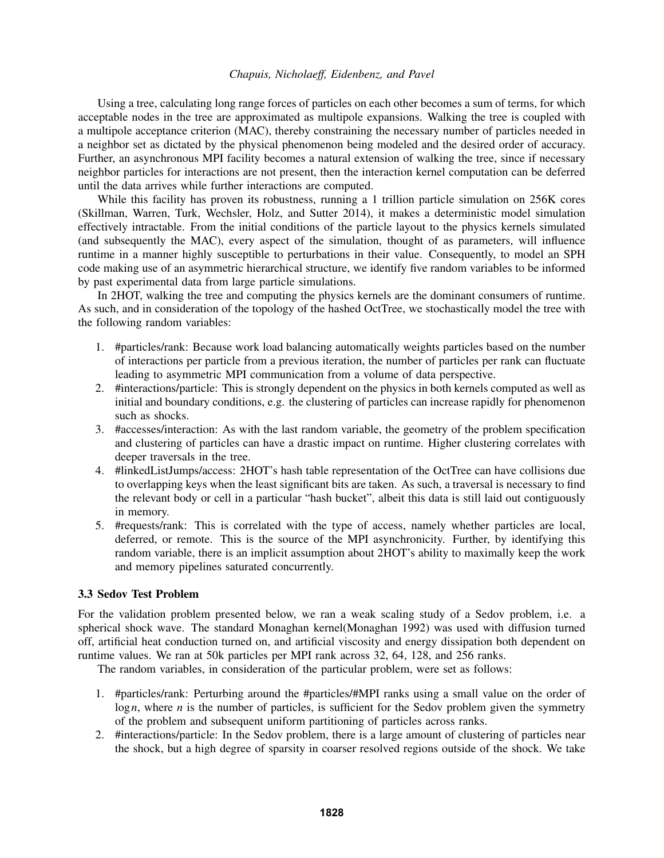Using a tree, calculating long range forces of particles on each other becomes a sum of terms, for which acceptable nodes in the tree are approximated as multipole expansions. Walking the tree is coupled with a multipole acceptance criterion (MAC), thereby constraining the necessary number of particles needed in a neighbor set as dictated by the physical phenomenon being modeled and the desired order of accuracy. Further, an asynchronous MPI facility becomes a natural extension of walking the tree, since if necessary neighbor particles for interactions are not present, then the interaction kernel computation can be deferred until the data arrives while further interactions are computed.

While this facility has proven its robustness, running a 1 trillion particle simulation on 256K cores (Skillman, Warren, Turk, Wechsler, Holz, and Sutter 2014), it makes a deterministic model simulation effectively intractable. From the initial conditions of the particle layout to the physics kernels simulated (and subsequently the MAC), every aspect of the simulation, thought of as parameters, will influence runtime in a manner highly susceptible to perturbations in their value. Consequently, to model an SPH code making use of an asymmetric hierarchical structure, we identify five random variables to be informed by past experimental data from large particle simulations.

In 2HOT, walking the tree and computing the physics kernels are the dominant consumers of runtime. As such, and in consideration of the topology of the hashed OctTree, we stochastically model the tree with the following random variables:

- 1. #particles/rank: Because work load balancing automatically weights particles based on the number of interactions per particle from a previous iteration, the number of particles per rank can fluctuate leading to asymmetric MPI communication from a volume of data perspective.
- 2. #interactions/particle: This is strongly dependent on the physics in both kernels computed as well as initial and boundary conditions, e.g. the clustering of particles can increase rapidly for phenomenon such as shocks.
- 3. #accesses/interaction: As with the last random variable, the geometry of the problem specification and clustering of particles can have a drastic impact on runtime. Higher clustering correlates with deeper traversals in the tree.
- 4. #linkedListJumps/access: 2HOT's hash table representation of the OctTree can have collisions due to overlapping keys when the least significant bits are taken. As such, a traversal is necessary to find the relevant body or cell in a particular "hash bucket", albeit this data is still laid out contiguously in memory.
- 5. #requests/rank: This is correlated with the type of access, namely whether particles are local, deferred, or remote. This is the source of the MPI asynchronicity. Further, by identifying this random variable, there is an implicit assumption about 2HOT's ability to maximally keep the work and memory pipelines saturated concurrently.

### 3.3 Sedov Test Problem

For the validation problem presented below, we ran a weak scaling study of a Sedov problem, i.e. a spherical shock wave. The standard Monaghan kernel(Monaghan 1992) was used with diffusion turned off, artificial heat conduction turned on, and artificial viscosity and energy dissipation both dependent on runtime values. We ran at 50k particles per MPI rank across 32, 64, 128, and 256 ranks.

The random variables, in consideration of the particular problem, were set as follows:

- 1. #particles/rank: Perturbing around the #particles/#MPI ranks using a small value on the order of log*n*, where *n* is the number of particles, is sufficient for the Sedov problem given the symmetry of the problem and subsequent uniform partitioning of particles across ranks.
- 2. #interactions/particle: In the Sedov problem, there is a large amount of clustering of particles near the shock, but a high degree of sparsity in coarser resolved regions outside of the shock. We take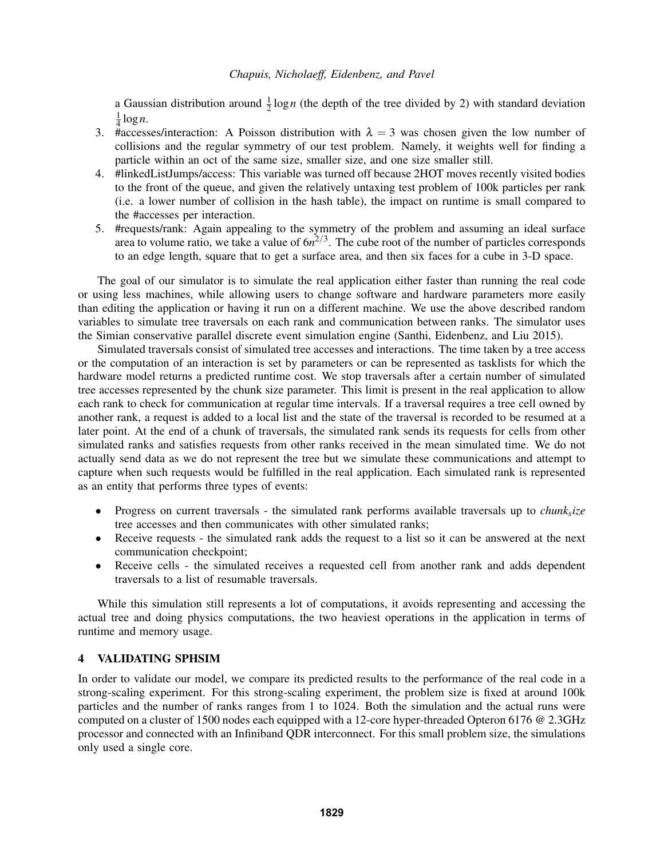a Gaussian distribution around  $\frac{1}{2} \log n$  (the depth of the tree divided by 2) with standard deviation 1  $rac{1}{4} \log n$ .

- 3. #accesses/interaction: A Poisson distribution with  $\lambda = 3$  was chosen given the low number of collisions and the regular symmetry of our test problem. Namely, it weights well for finding a particle within an oct of the same size, smaller size, and one size smaller still.
- 4. #linkedListJumps/access: This variable was turned off because 2HOT moves recently visited bodies to the front of the queue, and given the relatively untaxing test problem of 100k particles per rank (i.e. a lower number of collision in the hash table), the impact on runtime is small compared to the #accesses per interaction.
- 5. #requests/rank: Again appealing to the symmetry of the problem and assuming an ideal surface area to volume ratio, we take a value of  $6n^{2/3}$ . The cube root of the number of particles corresponds to an edge length, square that to get a surface area, and then six faces for a cube in 3-D space.

The goal of our simulator is to simulate the real application either faster than running the real code or using less machines, while allowing users to change software and hardware parameters more easily than editing the application or having it run on a different machine. We use the above described random variables to simulate tree traversals on each rank and communication between ranks. The simulator uses the Simian conservative parallel discrete event simulation engine (Santhi, Eidenbenz, and Liu 2015).

Simulated traversals consist of simulated tree accesses and interactions. The time taken by a tree access or the computation of an interaction is set by parameters or can be represented as tasklists for which the hardware model returns a predicted runtime cost. We stop traversals after a certain number of simulated tree accesses represented by the chunk size parameter. This limit is present in the real application to allow each rank to check for communication at regular time intervals. If a traversal requires a tree cell owned by another rank, a request is added to a local list and the state of the traversal is recorded to be resumed at a later point. At the end of a chunk of traversals, the simulated rank sends its requests for cells from other simulated ranks and satisfies requests from other ranks received in the mean simulated time. We do not actually send data as we do not represent the tree but we simulate these communications and attempt to capture when such requests would be fulfilled in the real application. Each simulated rank is represented as an entity that performs three types of events:

- Progress on current traversals the simulated rank performs available traversals up to *chunk<sup>s</sup> ize* tree accesses and then communicates with other simulated ranks;
- Receive requests the simulated rank adds the request to a list so it can be answered at the next communication checkpoint;
- Receive cells the simulated receives a requested cell from another rank and adds dependent traversals to a list of resumable traversals.

While this simulation still represents a lot of computations, it avoids representing and accessing the actual tree and doing physics computations, the two heaviest operations in the application in terms of runtime and memory usage.

## 4 VALIDATING SPHSIM

In order to validate our model, we compare its predicted results to the performance of the real code in a strong-scaling experiment. For this strong-scaling experiment, the problem size is fixed at around 100k particles and the number of ranks ranges from 1 to 1024. Both the simulation and the actual runs were computed on a cluster of 1500 nodes each equipped with a 12-core hyper-threaded Opteron 6176 @ 2.3GHz processor and connected with an Infiniband QDR interconnect. For this small problem size, the simulations only used a single core.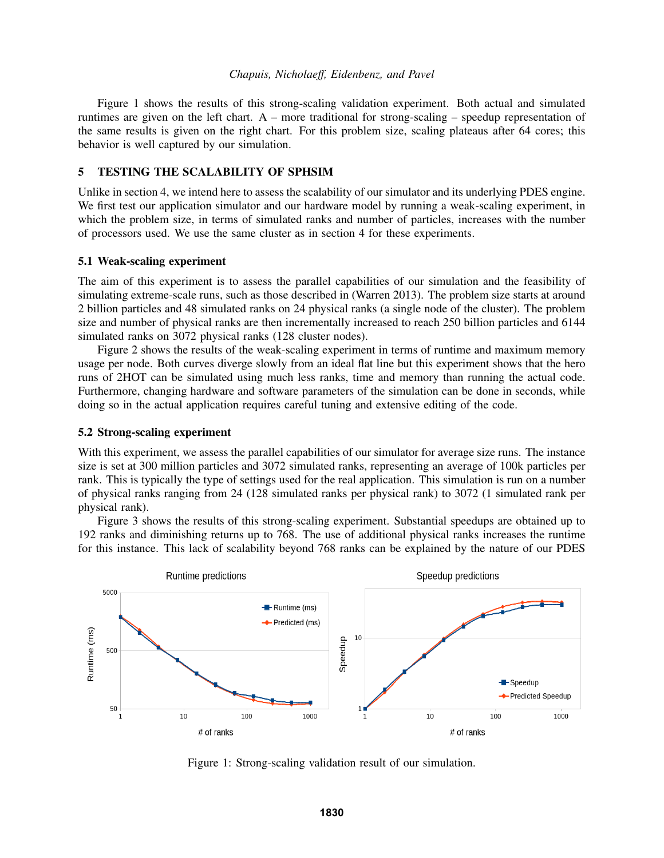Figure 1 shows the results of this strong-scaling validation experiment. Both actual and simulated runtimes are given on the left chart. A – more traditional for strong-scaling – speedup representation of the same results is given on the right chart. For this problem size, scaling plateaus after 64 cores; this behavior is well captured by our simulation.

## 5 TESTING THE SCALABILITY OF SPHSIM

Unlike in section 4, we intend here to assess the scalability of our simulator and its underlying PDES engine. We first test our application simulator and our hardware model by running a weak-scaling experiment, in which the problem size, in terms of simulated ranks and number of particles, increases with the number of processors used. We use the same cluster as in section 4 for these experiments.

#### 5.1 Weak-scaling experiment

The aim of this experiment is to assess the parallel capabilities of our simulation and the feasibility of simulating extreme-scale runs, such as those described in (Warren 2013). The problem size starts at around 2 billion particles and 48 simulated ranks on 24 physical ranks (a single node of the cluster). The problem size and number of physical ranks are then incrementally increased to reach 250 billion particles and 6144 simulated ranks on 3072 physical ranks (128 cluster nodes).

Figure 2 shows the results of the weak-scaling experiment in terms of runtime and maximum memory usage per node. Both curves diverge slowly from an ideal flat line but this experiment shows that the hero runs of 2HOT can be simulated using much less ranks, time and memory than running the actual code. Furthermore, changing hardware and software parameters of the simulation can be done in seconds, while doing so in the actual application requires careful tuning and extensive editing of the code.

### 5.2 Strong-scaling experiment

With this experiment, we assess the parallel capabilities of our simulator for average size runs. The instance size is set at 300 million particles and 3072 simulated ranks, representing an average of 100k particles per rank. This is typically the type of settings used for the real application. This simulation is run on a number of physical ranks ranging from 24 (128 simulated ranks per physical rank) to 3072 (1 simulated rank per physical rank).

Figure 3 shows the results of this strong-scaling experiment. Substantial speedups are obtained up to 192 ranks and diminishing returns up to 768. The use of additional physical ranks increases the runtime for this instance. This lack of scalability beyond 768 ranks can be explained by the nature of our PDES



Figure 1: Strong-scaling validation result of our simulation.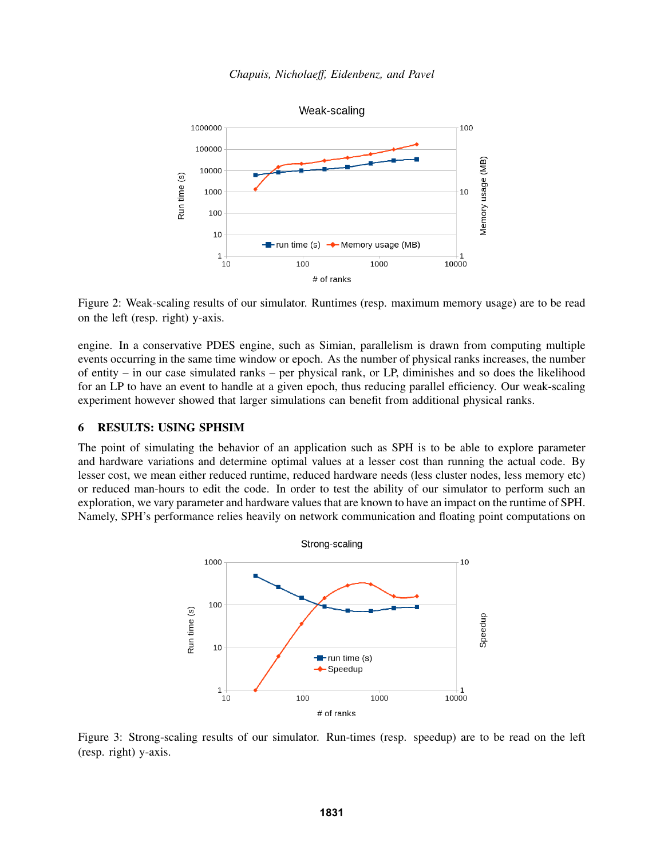

Figure 2: Weak-scaling results of our simulator. Runtimes (resp. maximum memory usage) are to be read on the left (resp. right) y-axis.

engine. In a conservative PDES engine, such as Simian, parallelism is drawn from computing multiple events occurring in the same time window or epoch. As the number of physical ranks increases, the number of entity – in our case simulated ranks – per physical rank, or LP, diminishes and so does the likelihood for an LP to have an event to handle at a given epoch, thus reducing parallel efficiency. Our weak-scaling experiment however showed that larger simulations can benefit from additional physical ranks.

#### 6 RESULTS: USING SPHSIM

The point of simulating the behavior of an application such as SPH is to be able to explore parameter and hardware variations and determine optimal values at a lesser cost than running the actual code. By lesser cost, we mean either reduced runtime, reduced hardware needs (less cluster nodes, less memory etc) or reduced man-hours to edit the code. In order to test the ability of our simulator to perform such an exploration, we vary parameter and hardware values that are known to have an impact on the runtime of SPH. Namely, SPH's performance relies heavily on network communication and floating point computations on



Figure 3: Strong-scaling results of our simulator. Run-times (resp. speedup) are to be read on the left (resp. right) y-axis.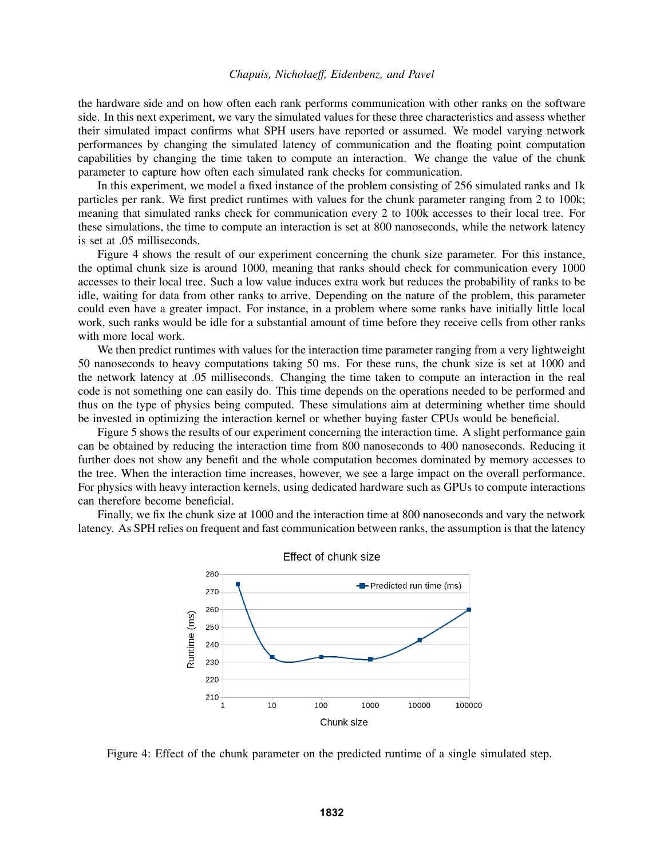the hardware side and on how often each rank performs communication with other ranks on the software side. In this next experiment, we vary the simulated values for these three characteristics and assess whether their simulated impact confirms what SPH users have reported or assumed. We model varying network performances by changing the simulated latency of communication and the floating point computation capabilities by changing the time taken to compute an interaction. We change the value of the chunk parameter to capture how often each simulated rank checks for communication.

In this experiment, we model a fixed instance of the problem consisting of 256 simulated ranks and 1k particles per rank. We first predict runtimes with values for the chunk parameter ranging from 2 to 100k; meaning that simulated ranks check for communication every 2 to 100k accesses to their local tree. For these simulations, the time to compute an interaction is set at 800 nanoseconds, while the network latency is set at .05 milliseconds.

Figure 4 shows the result of our experiment concerning the chunk size parameter. For this instance, the optimal chunk size is around 1000, meaning that ranks should check for communication every 1000 accesses to their local tree. Such a low value induces extra work but reduces the probability of ranks to be idle, waiting for data from other ranks to arrive. Depending on the nature of the problem, this parameter could even have a greater impact. For instance, in a problem where some ranks have initially little local work, such ranks would be idle for a substantial amount of time before they receive cells from other ranks with more local work.

We then predict runtimes with values for the interaction time parameter ranging from a very lightweight 50 nanoseconds to heavy computations taking 50 ms. For these runs, the chunk size is set at 1000 and the network latency at .05 milliseconds. Changing the time taken to compute an interaction in the real code is not something one can easily do. This time depends on the operations needed to be performed and thus on the type of physics being computed. These simulations aim at determining whether time should be invested in optimizing the interaction kernel or whether buying faster CPUs would be beneficial.

Figure 5 shows the results of our experiment concerning the interaction time. A slight performance gain can be obtained by reducing the interaction time from 800 nanoseconds to 400 nanoseconds. Reducing it further does not show any benefit and the whole computation becomes dominated by memory accesses to the tree. When the interaction time increases, however, we see a large impact on the overall performance. For physics with heavy interaction kernels, using dedicated hardware such as GPUs to compute interactions can therefore become beneficial.

Finally, we fix the chunk size at 1000 and the interaction time at 800 nanoseconds and vary the network latency. As SPH relies on frequent and fast communication between ranks, the assumption is that the latency



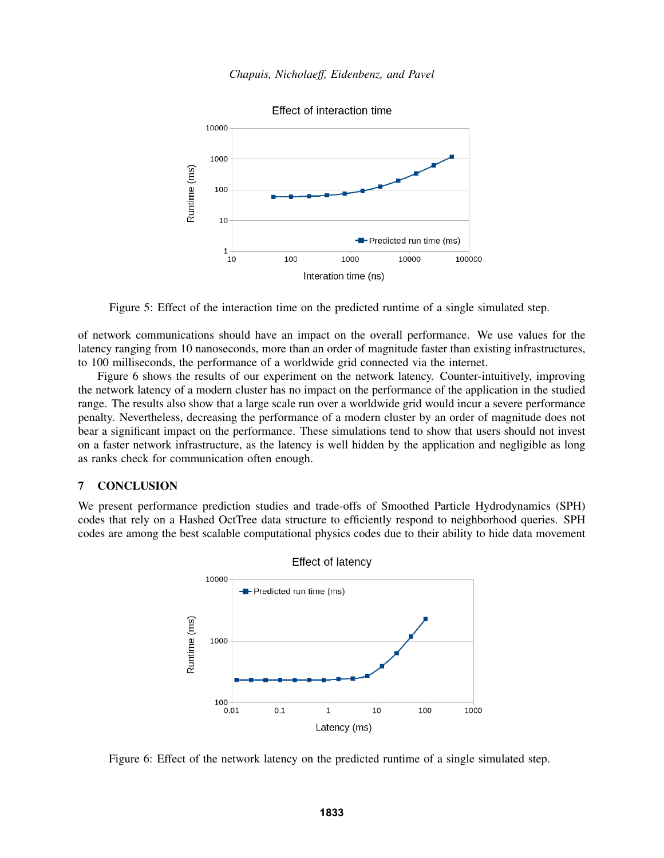



Figure 5: Effect of the interaction time on the predicted runtime of a single simulated step.

of network communications should have an impact on the overall performance. We use values for the latency ranging from 10 nanoseconds, more than an order of magnitude faster than existing infrastructures, to 100 milliseconds, the performance of a worldwide grid connected via the internet.

Figure 6 shows the results of our experiment on the network latency. Counter-intuitively, improving the network latency of a modern cluster has no impact on the performance of the application in the studied range. The results also show that a large scale run over a worldwide grid would incur a severe performance penalty. Nevertheless, decreasing the performance of a modern cluster by an order of magnitude does not bear a significant impact on the performance. These simulations tend to show that users should not invest on a faster network infrastructure, as the latency is well hidden by the application and negligible as long as ranks check for communication often enough.

#### 7 CONCLUSION

We present performance prediction studies and trade-offs of Smoothed Particle Hydrodynamics (SPH) codes that rely on a Hashed OctTree data structure to efficiently respond to neighborhood queries. SPH codes are among the best scalable computational physics codes due to their ability to hide data movement



Figure 6: Effect of the network latency on the predicted runtime of a single simulated step.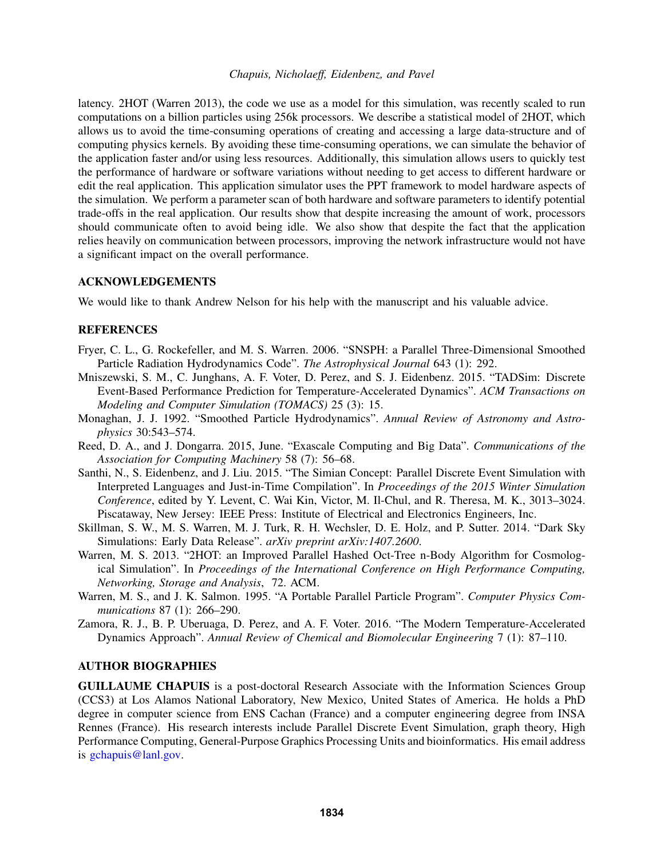latency. 2HOT (Warren 2013), the code we use as a model for this simulation, was recently scaled to run computations on a billion particles using 256k processors. We describe a statistical model of 2HOT, which allows us to avoid the time-consuming operations of creating and accessing a large data-structure and of computing physics kernels. By avoiding these time-consuming operations, we can simulate the behavior of the application faster and/or using less resources. Additionally, this simulation allows users to quickly test the performance of hardware or software variations without needing to get access to different hardware or edit the real application. This application simulator uses the PPT framework to model hardware aspects of the simulation. We perform a parameter scan of both hardware and software parameters to identify potential trade-offs in the real application. Our results show that despite increasing the amount of work, processors should communicate often to avoid being idle. We also show that despite the fact that the application relies heavily on communication between processors, improving the network infrastructure would not have a significant impact on the overall performance.

## ACKNOWLEDGEMENTS

We would like to thank Andrew Nelson for his help with the manuscript and his valuable advice.

## **REFERENCES**

- Fryer, C. L., G. Rockefeller, and M. S. Warren. 2006. "SNSPH: a Parallel Three-Dimensional Smoothed Particle Radiation Hydrodynamics Code". *The Astrophysical Journal* 643 (1): 292.
- Mniszewski, S. M., C. Junghans, A. F. Voter, D. Perez, and S. J. Eidenbenz. 2015. "TADSim: Discrete Event-Based Performance Prediction for Temperature-Accelerated Dynamics". *ACM Transactions on Modeling and Computer Simulation (TOMACS)* 25 (3): 15.
- Monaghan, J. J. 1992. "Smoothed Particle Hydrodynamics". *Annual Review of Astronomy and Astrophysics* 30:543–574.
- Reed, D. A., and J. Dongarra. 2015, June. "Exascale Computing and Big Data". *Communications of the Association for Computing Machinery* 58 (7): 56–68.
- Santhi, N., S. Eidenbenz, and J. Liu. 2015. "The Simian Concept: Parallel Discrete Event Simulation with Interpreted Languages and Just-in-Time Compilation". In *Proceedings of the 2015 Winter Simulation Conference*, edited by Y. Levent, C. Wai Kin, Victor, M. Il-Chul, and R. Theresa, M. K., 3013–3024. Piscataway, New Jersey: IEEE Press: Institute of Electrical and Electronics Engineers, Inc.
- Skillman, S. W., M. S. Warren, M. J. Turk, R. H. Wechsler, D. E. Holz, and P. Sutter. 2014. "Dark Sky Simulations: Early Data Release". *arXiv preprint arXiv:1407.2600*.
- Warren, M. S. 2013. "2HOT: an Improved Parallel Hashed Oct-Tree n-Body Algorithm for Cosmological Simulation". In *Proceedings of the International Conference on High Performance Computing, Networking, Storage and Analysis*, 72. ACM.
- Warren, M. S., and J. K. Salmon. 1995. "A Portable Parallel Particle Program". *Computer Physics Communications* 87 (1): 266–290.
- Zamora, R. J., B. P. Uberuaga, D. Perez, and A. F. Voter. 2016. "The Modern Temperature-Accelerated Dynamics Approach". *Annual Review of Chemical and Biomolecular Engineering* 7 (1): 87–110.

## AUTHOR BIOGRAPHIES

GUILLAUME CHAPUIS is a post-doctoral Research Associate with the Information Sciences Group (CCS3) at Los Alamos National Laboratory, New Mexico, United States of America. He holds a PhD degree in computer science from ENS Cachan (France) and a computer engineering degree from INSA Rennes (France). His research interests include Parallel Discrete Event Simulation, graph theory, High Performance Computing, General-Purpose Graphics Processing Units and bioinformatics. His email address is gchapuis@lanl.gov.